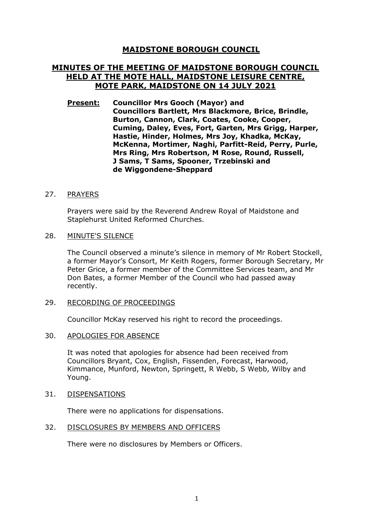# **MAIDSTONE BOROUGH COUNCIL**

# **MINUTES OF THE MEETING OF MAIDSTONE BOROUGH COUNCIL HELD AT THE MOTE HALL, MAIDSTONE LEISURE CENTRE, MOTE PARK, MAIDSTONE ON 14 JULY 2021**

**Present: Councillor Mrs Gooch (Mayor) and Councillors Bartlett, Mrs Blackmore, Brice, Brindle, Burton, Cannon, Clark, Coates, Cooke, Cooper, Cuming, Daley, Eves, Fort, Garten, Mrs Grigg, Harper, Hastie, Hinder, Holmes, Mrs Joy, Khadka, McKay, McKenna, Mortimer, Naghi, Parfitt-Reid, Perry, Purle, Mrs Ring, Mrs Robertson, M Rose, Round, Russell, J Sams, T Sams, Spooner, Trzebinski and de Wiggondene-Sheppard**

#### 27. PRAYERS

Prayers were said by the Reverend Andrew Royal of Maidstone and Staplehurst United Reformed Churches.

#### 28. MINUTE'S SILENCE

The Council observed a minute's silence in memory of Mr Robert Stockell, a former Mayor's Consort, Mr Keith Rogers, former Borough Secretary, Mr Peter Grice, a former member of the Committee Services team, and Mr Don Bates, a former Member of the Council who had passed away recently.

#### 29. RECORDING OF PROCEEDINGS

Councillor McKay reserved his right to record the proceedings.

#### 30. APOLOGIES FOR ABSENCE

It was noted that apologies for absence had been received from Councillors Bryant, Cox, English, Fissenden, Forecast, Harwood, Kimmance, Munford, Newton, Springett, R Webb, S Webb, Wilby and Young.

#### 31. DISPENSATIONS

There were no applications for dispensations.

#### 32. DISCLOSURES BY MEMBERS AND OFFICERS

There were no disclosures by Members or Officers.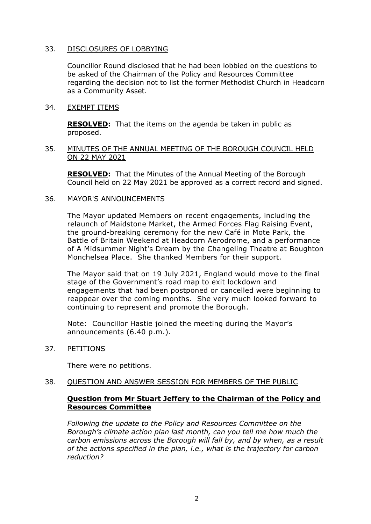## 33. DISCLOSURES OF LOBBYING

Councillor Round disclosed that he had been lobbied on the questions to be asked of the Chairman of the Policy and Resources Committee regarding the decision not to list the former Methodist Church in Headcorn as a Community Asset.

#### 34. EXEMPT ITEMS

**RESOLVED:** That the items on the agenda be taken in public as proposed.

## 35. MINUTES OF THE ANNUAL MEETING OF THE BOROUGH COUNCIL HELD ON 22 MAY 2021

**RESOLVED:** That the Minutes of the Annual Meeting of the Borough Council held on 22 May 2021 be approved as a correct record and signed.

# 36. MAYOR'S ANNOUNCEMENTS

The Mayor updated Members on recent engagements, including the relaunch of Maidstone Market, the Armed Forces Flag Raising Event, the ground-breaking ceremony for the new Café in Mote Park, the Battle of Britain Weekend at Headcorn Aerodrome, and a performance of A Midsummer Night's Dream by the Changeling Theatre at Boughton Monchelsea Place. She thanked Members for their support.

The Mayor said that on 19 July 2021, England would move to the final stage of the Government's road map to exit lockdown and engagements that had been postponed or cancelled were beginning to reappear over the coming months. She very much looked forward to continuing to represent and promote the Borough.

Note: Councillor Hastie joined the meeting during the Mayor's announcements (6.40 p.m.).

37. PETITIONS

There were no petitions.

38. QUESTION AND ANSWER SESSION FOR MEMBERS OF THE PUBLIC

# **Question from Mr Stuart Jeffery to the Chairman of the Policy and Resources Committee**

*Following the update to the Policy and Resources Committee on the Borough's climate action plan last month, can you tell me how much the carbon emissions across the Borough will fall by, and by when, as a result of the actions specified in the plan, i.e., what is the trajectory for carbon reduction?*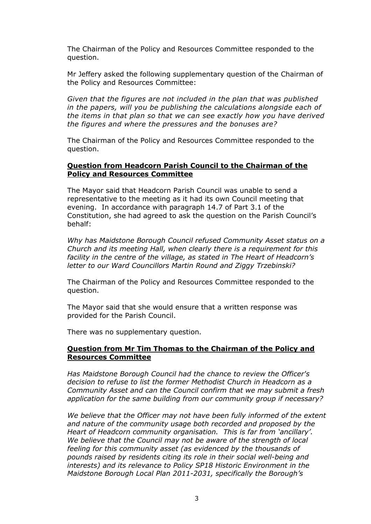The Chairman of the Policy and Resources Committee responded to the question.

Mr Jeffery asked the following supplementary question of the Chairman of the Policy and Resources Committee:

*Given that the figures are not included in the plan that was published in the papers, will you be publishing the calculations alongside each of the items in that plan so that we can see exactly how you have derived the figures and where the pressures and the bonuses are?*

The Chairman of the Policy and Resources Committee responded to the question.

#### **Question from Headcorn Parish Council to the Chairman of the Policy and Resources Committee**

The Mayor said that Headcorn Parish Council was unable to send a representative to the meeting as it had its own Council meeting that evening. In accordance with paragraph 14.7 of Part 3.1 of the Constitution, she had agreed to ask the question on the Parish Council's behalf:

*Why has Maidstone Borough Council refused Community Asset status on a Church and its meeting Hall, when clearly there is a requirement for this facility in the centre of the village, as stated in The Heart of Headcorn's letter to our Ward Councillors Martin Round and Ziggy Trzebinski?*

The Chairman of the Policy and Resources Committee responded to the question.

The Mayor said that she would ensure that a written response was provided for the Parish Council.

There was no supplementary question.

#### **Question from Mr Tim Thomas to the Chairman of the Policy and Resources Committee**

*Has Maidstone Borough Council had the chance to review the Officer's decision to refuse to list the former Methodist Church in Headcorn as a Community Asset and can the Council confirm that we may submit a fresh application for the same building from our community group if necessary?* 

*We believe that the Officer may not have been fully informed of the extent and nature of the community usage both recorded and proposed by the Heart of Headcorn community organisation. This is far from 'ancillary'. We believe that the Council may not be aware of the strength of local feeling for this community asset (as evidenced by the thousands of pounds raised by residents citing its role in their social well-being and interests) and its relevance to Policy SP18 Historic Environment in the Maidstone Borough Local Plan 2011-2031, specifically the Borough's*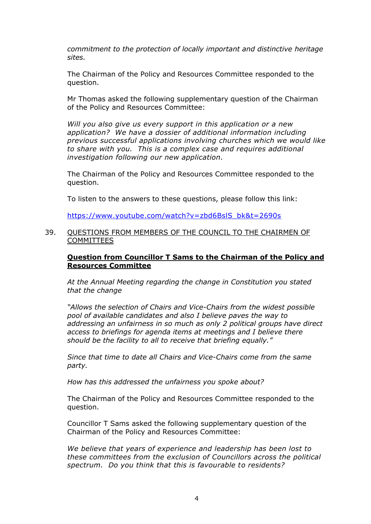*commitment to the protection of locally important and distinctive heritage sites.*

The Chairman of the Policy and Resources Committee responded to the question.

Mr Thomas asked the following supplementary question of the Chairman of the Policy and Resources Committee:

*Will you also give us every support in this application or a new application? We have a dossier of additional information including previous successful applications involving churches which we would like to share with you. This is a complex case and requires additional investigation following our new application.*

The Chairman of the Policy and Resources Committee responded to the question.

To listen to the answers to these questions, please follow this link:

[https://www.youtube.com/watch?v=zbd6BslS\\_bk&t=2690s](https://www.youtube.com/watch?v=zbd6BslS_bk&t=2690s)

#### 39. QUESTIONS FROM MEMBERS OF THE COUNCIL TO THE CHAIRMEN OF COMMITTEES

## **Question from Councillor T Sams to the Chairman of the Policy and Resources Committee**

*At the Annual Meeting regarding the change in Constitution you stated that the change* 

*"Allows the selection of Chairs and Vice-Chairs from the widest possible pool of available candidates and also I believe paves the way to addressing an unfairness in so much as only 2 political groups have direct access to briefings for agenda items at meetings and I believe there should be the facility to all to receive that briefing equally."*

*Since that time to date all Chairs and Vice-Chairs come from the same party.*

*How has this addressed the unfairness you spoke about?*

The Chairman of the Policy and Resources Committee responded to the question.

Councillor T Sams asked the following supplementary question of the Chairman of the Policy and Resources Committee:

*We believe that years of experience and leadership has been lost to these committees from the exclusion of Councillors across the political spectrum. Do you think that this is favourable to residents?*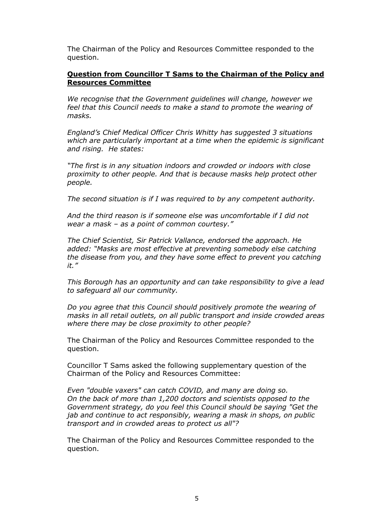The Chairman of the Policy and Resources Committee responded to the question.

# **Question from Councillor T Sams to the Chairman of the Policy and Resources Committee**

*We recognise that the Government guidelines will change, however we feel that this Council needs to make a stand to promote the wearing of masks.*

*England's Chief Medical Officer Chris Whitty has suggested 3 situations which are particularly important at a time when the epidemic is significant and rising. He states:*

*"The first is in any situation indoors and crowded or indoors with close proximity to other people. And that is because masks help protect other people.*

*The second situation is if I was required to by any competent authority.*

*And the third reason is if someone else was uncomfortable if I did not wear a mask – as a point of common courtesy."*

*The Chief Scientist, Sir Patrick Vallance, endorsed the approach. He added: "Masks are most effective at preventing somebody else catching the disease from you, and they have some effect to prevent you catching it."*

*This Borough has an opportunity and can take responsibility to give a lead to safeguard all our community.*

*Do you agree that this Council should positively promote the wearing of masks in all retail outlets, on all public transport and inside crowded areas where there may be close proximity to other people?*

The Chairman of the Policy and Resources Committee responded to the question.

Councillor T Sams asked the following supplementary question of the Chairman of the Policy and Resources Committee:

*Even "double vaxers" can catch COVID, and many are doing so. On the back of more than 1,200 doctors and scientists opposed to the Government strategy, do you feel this Council should be saying "Get the jab and continue to act responsibly, wearing a mask in shops, on public transport and in crowded areas to protect us all"?*

The Chairman of the Policy and Resources Committee responded to the question.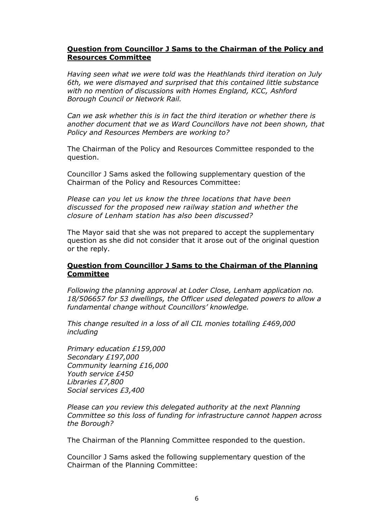# **Question from Councillor J Sams to the Chairman of the Policy and Resources Committee**

*Having seen what we were told was the Heathlands third iteration on July 6th, we were dismayed and surprised that this contained little substance with no mention of discussions with Homes England, KCC, Ashford Borough Council or Network Rail.*

*Can we ask whether this is in fact the third iteration or whether there is another document that we as Ward Councillors have not been shown, that Policy and Resources Members are working to?*

The Chairman of the Policy and Resources Committee responded to the question.

Councillor J Sams asked the following supplementary question of the Chairman of the Policy and Resources Committee:

*Please can you let us know the three locations that have been discussed for the proposed new railway station and whether the closure of Lenham station has also been discussed?*

The Mayor said that she was not prepared to accept the supplementary question as she did not consider that it arose out of the original question or the reply.

# **Question from Councillor J Sams to the Chairman of the Planning Committee**

*Following the planning approval at Loder Close, Lenham application no. 18/506657 for 53 dwellings, the Officer used delegated powers to allow a fundamental change without Councillors' knowledge.*

*This change resulted in a loss of all CIL monies totalling £469,000 including*

*Primary education £159,000 Secondary £197,000 Community learning £16,000 Youth service £450 Libraries £7,800 Social services £3,400*

*Please can you review this delegated authority at the next Planning Committee so this loss of funding for infrastructure cannot happen across the Borough?*

The Chairman of the Planning Committee responded to the question.

Councillor J Sams asked the following supplementary question of the Chairman of the Planning Committee: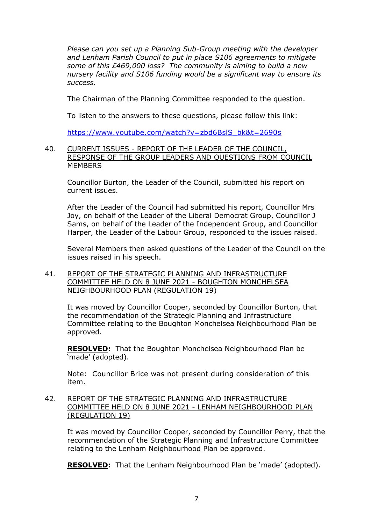*Please can you set up a Planning Sub-Group meeting with the developer and Lenham Parish Council to put in place S106 agreements to mitigate some of this £469,000 loss? The community is aiming to build a new nursery facility and S106 funding would be a significant way to ensure its success.*

The Chairman of the Planning Committee responded to the question.

To listen to the answers to these questions, please follow this link:

[https://www.youtube.com/watch?v=zbd6BslS\\_bk&t=2690s](https://www.youtube.com/watch?v=zbd6BslS_bk&t=2690s)

## 40. CURRENT ISSUES - REPORT OF THE LEADER OF THE COUNCIL, RESPONSE OF THE GROUP LEADERS AND QUESTIONS FROM COUNCIL MEMBERS

Councillor Burton, the Leader of the Council, submitted his report on current issues.

After the Leader of the Council had submitted his report, Councillor Mrs Joy, on behalf of the Leader of the Liberal Democrat Group, Councillor J Sams, on behalf of the Leader of the Independent Group, and Councillor Harper, the Leader of the Labour Group, responded to the issues raised.

Several Members then asked questions of the Leader of the Council on the issues raised in his speech.

## 41. REPORT OF THE STRATEGIC PLANNING AND INFRASTRUCTURE COMMITTEE HELD ON 8 JUNE 2021 - BOUGHTON MONCHELSEA NEIGHBOURHOOD PLAN (REGULATION 19)

It was moved by Councillor Cooper, seconded by Councillor Burton, that the recommendation of the Strategic Planning and Infrastructure Committee relating to the Boughton Monchelsea Neighbourhood Plan be approved.

**RESOLVED:** That the Boughton Monchelsea Neighbourhood Plan be 'made' (adopted).

Note: Councillor Brice was not present during consideration of this item.

## 42. REPORT OF THE STRATEGIC PLANNING AND INFRASTRUCTURE COMMITTEE HELD ON 8 JUNE 2021 - LENHAM NEIGHBOURHOOD PLAN (REGULATION 19)

It was moved by Councillor Cooper, seconded by Councillor Perry, that the recommendation of the Strategic Planning and Infrastructure Committee relating to the Lenham Neighbourhood Plan be approved.

**RESOLVED:** That the Lenham Neighbourhood Plan be 'made' (adopted).